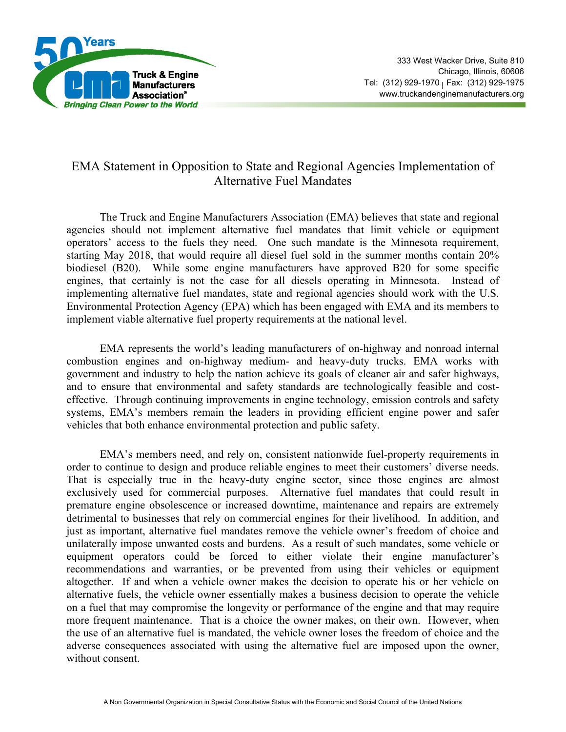

## EMA Statement in Opposition to State and Regional Agencies Implementation of Alternative Fuel Mandates

 The Truck and Engine Manufacturers Association (EMA) believes that state and regional agencies should not implement alternative fuel mandates that limit vehicle or equipment operators' access to the fuels they need. One such mandate is the Minnesota requirement, starting May 2018, that would require all diesel fuel sold in the summer months contain 20% biodiesel (B20). While some engine manufacturers have approved B20 for some specific engines, that certainly is not the case for all diesels operating in Minnesota. Instead of implementing alternative fuel mandates, state and regional agencies should work with the U.S. Environmental Protection Agency (EPA) which has been engaged with EMA and its members to implement viable alternative fuel property requirements at the national level.

 EMA represents the world's leading manufacturers of on-highway and nonroad internal combustion engines and on-highway medium- and heavy-duty trucks. EMA works with government and industry to help the nation achieve its goals of cleaner air and safer highways, and to ensure that environmental and safety standards are technologically feasible and costeffective. Through continuing improvements in engine technology, emission controls and safety systems, EMA's members remain the leaders in providing efficient engine power and safer vehicles that both enhance environmental protection and public safety.

 EMA's members need, and rely on, consistent nationwide fuel-property requirements in order to continue to design and produce reliable engines to meet their customers' diverse needs. That is especially true in the heavy-duty engine sector, since those engines are almost exclusively used for commercial purposes. Alternative fuel mandates that could result in premature engine obsolescence or increased downtime, maintenance and repairs are extremely detrimental to businesses that rely on commercial engines for their livelihood. In addition, and just as important, alternative fuel mandates remove the vehicle owner's freedom of choice and unilaterally impose unwanted costs and burdens. As a result of such mandates, some vehicle or equipment operators could be forced to either violate their engine manufacturer's recommendations and warranties, or be prevented from using their vehicles or equipment altogether. If and when a vehicle owner makes the decision to operate his or her vehicle on alternative fuels, the vehicle owner essentially makes a business decision to operate the vehicle on a fuel that may compromise the longevity or performance of the engine and that may require more frequent maintenance. That is a choice the owner makes, on their own. However, when the use of an alternative fuel is mandated, the vehicle owner loses the freedom of choice and the adverse consequences associated with using the alternative fuel are imposed upon the owner, without consent.